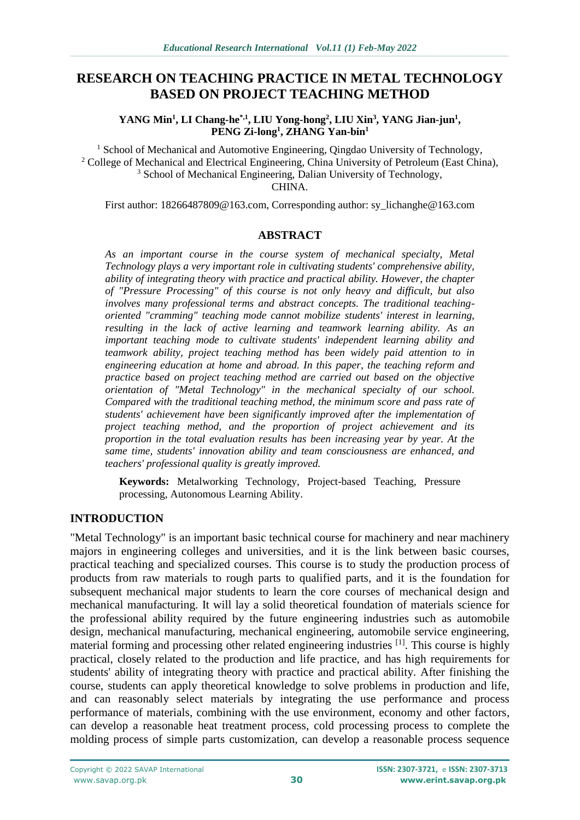# **RESEARCH ON TEACHING PRACTICE IN METAL TECHNOLOGY BASED ON PROJECT TEACHING METHOD**

**YANG Min<sup>1</sup> , LI Chang-he\*,1 , LIU Yong-hong<sup>2</sup> , LIU Xin<sup>3</sup> , YANG Jian-jun<sup>1</sup> , PENG Zi-long<sup>1</sup> , ZHANG Yan-bin<sup>1</sup>**

<sup>1</sup> School of Mechanical and Automotive Engineering, Qingdao University of Technology, <sup>2</sup> College of Mechanical and Electrical Engineering, China University of Petroleum (East China), <sup>3</sup> School of Mechanical Engineering, Dalian University of Technology, CHINA.

First author: 18266487809@163.com, Corresponding author: sy\_lichanghe@163.com

### **ABSTRACT**

*As an important course in the course system of mechanical specialty, Metal Technology plays a very important role in cultivating students' comprehensive ability, ability of integrating theory with practice and practical ability. However, the chapter of "Pressure Processing" of this course is not only heavy and difficult, but also involves many professional terms and abstract concepts. The traditional teachingoriented "cramming" teaching mode cannot mobilize students' interest in learning, resulting in the lack of active learning and teamwork learning ability. As an important teaching mode to cultivate students' independent learning ability and teamwork ability, project teaching method has been widely paid attention to in engineering education at home and abroad. In this paper, the teaching reform and practice based on project teaching method are carried out based on the objective orientation of "Metal Technology" in the mechanical specialty of our school. Compared with the traditional teaching method, the minimum score and pass rate of students' achievement have been significantly improved after the implementation of project teaching method, and the proportion of project achievement and its proportion in the total evaluation results has been increasing year by year. At the same time, students' innovation ability and team consciousness are enhanced, and teachers' professional quality is greatly improved.*

**Keywords:** Metalworking Technology, Project-based Teaching, Pressure processing, Autonomous Learning Ability.

### **INTRODUCTION**

"Metal Technology" is an important basic technical course for machinery and near machinery majors in engineering colleges and universities, and it is the link between basic courses, practical teaching and specialized courses. This course is to study the production process of products from raw materials to rough parts to qualified parts, and it is the foundation for subsequent mechanical major students to learn the core courses of mechanical design and mechanical manufacturing. It will lay a solid theoretical foundation of materials science for the professional ability required by the future engineering industries such as automobile design, mechanical manufacturing, mechanical engineering, automobile service engineering, material forming and processing other related engineering industries <sup>[1]</sup>. This course is highly practical, closely related to the production and life practice, and has high requirements for students' ability of integrating theory with practice and practical ability. After finishing the course, students can apply theoretical knowledge to solve problems in production and life, and can reasonably select materials by integrating the use performance and process performance of materials, combining with the use environment, economy and other factors, can develop a reasonable heat treatment process, cold processing process to complete the molding process of simple parts customization, can develop a reasonable process sequence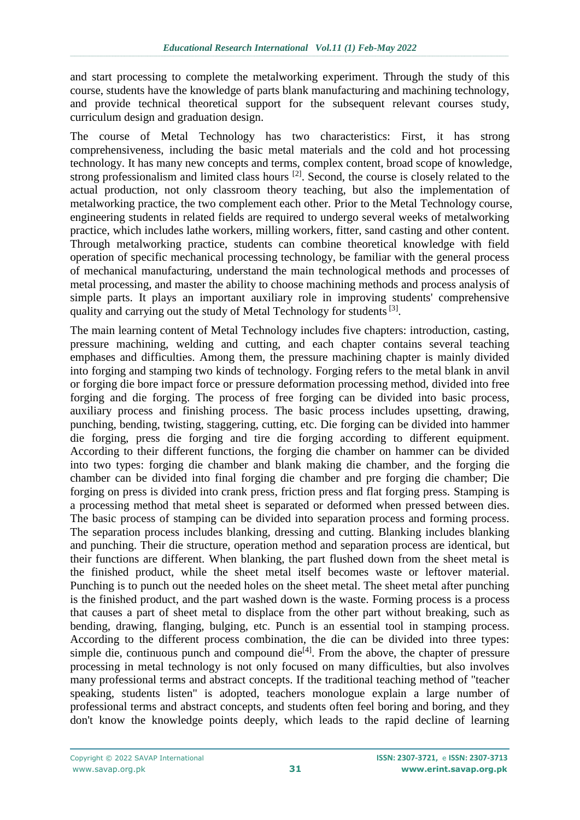and start processing to complete the metalworking experiment. Through the study of this course, students have the knowledge of parts blank manufacturing and machining technology, and provide technical theoretical support for the subsequent relevant courses study, curriculum design and graduation design.

The course of Metal Technology has two characteristics: First, it has strong comprehensiveness, including the basic metal materials and the cold and hot processing technology. It has many new concepts and terms, complex content, broad scope of knowledge, strong professionalism and limited class hours <sup>[2]</sup>. Second, the course is closely related to the actual production, not only classroom theory teaching, but also the implementation of metalworking practice, the two complement each other. Prior to the Metal Technology course, engineering students in related fields are required to undergo several weeks of metalworking practice, which includes lathe workers, milling workers, fitter, sand casting and other content. Through metalworking practice, students can combine theoretical knowledge with field operation of specific mechanical processing technology, be familiar with the general process of mechanical manufacturing, understand the main technological methods and processes of metal processing, and master the ability to choose machining methods and process analysis of simple parts. It plays an important auxiliary role in improving students' comprehensive quality and carrying out the study of Metal Technology for students<sup>[3]</sup>.

The main learning content of Metal Technology includes five chapters: introduction, casting, pressure machining, welding and cutting, and each chapter contains several teaching emphases and difficulties. Among them, the pressure machining chapter is mainly divided into forging and stamping two kinds of technology. Forging refers to the metal blank in anvil or forging die bore impact force or pressure deformation processing method, divided into free forging and die forging. The process of free forging can be divided into basic process, auxiliary process and finishing process. The basic process includes upsetting, drawing, punching, bending, twisting, staggering, cutting, etc. Die forging can be divided into hammer die forging, press die forging and tire die forging according to different equipment. According to their different functions, the forging die chamber on hammer can be divided into two types: forging die chamber and blank making die chamber, and the forging die chamber can be divided into final forging die chamber and pre forging die chamber; Die forging on press is divided into crank press, friction press and flat forging press. Stamping is a processing method that metal sheet is separated or deformed when pressed between dies. The basic process of stamping can be divided into separation process and forming process. The separation process includes blanking, dressing and cutting. Blanking includes blanking and punching. Their die structure, operation method and separation process are identical, but their functions are different. When blanking, the part flushed down from the sheet metal is the finished product, while the sheet metal itself becomes waste or leftover material. Punching is to punch out the needed holes on the sheet metal. The sheet metal after punching is the finished product, and the part washed down is the waste. Forming process is a process that causes a part of sheet metal to displace from the other part without breaking, such as bending, drawing, flanging, bulging, etc. Punch is an essential tool in stamping process. According to the different process combination, the die can be divided into three types: simple die, continuous punch and compound die $[4]$ . From the above, the chapter of pressure processing in metal technology is not only focused on many difficulties, but also involves many professional terms and abstract concepts. If the traditional teaching method of "teacher speaking, students listen" is adopted, teachers monologue explain a large number of professional terms and abstract concepts, and students often feel boring and boring, and they don't know the knowledge points deeply, which leads to the rapid decline of learning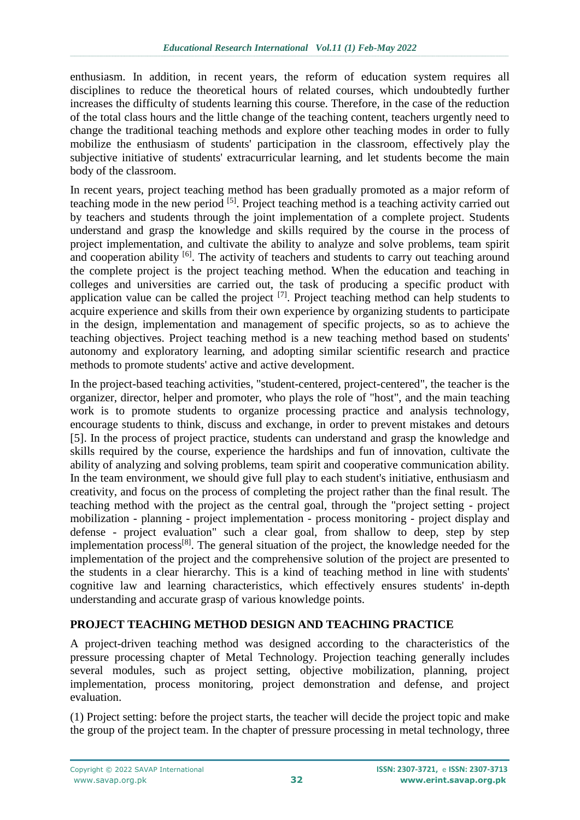enthusiasm. In addition, in recent years, the reform of education system requires all disciplines to reduce the theoretical hours of related courses, which undoubtedly further increases the difficulty of students learning this course. Therefore, in the case of the reduction of the total class hours and the little change of the teaching content, teachers urgently need to change the traditional teaching methods and explore other teaching modes in order to fully mobilize the enthusiasm of students' participation in the classroom, effectively play the subjective initiative of students' extracurricular learning, and let students become the main body of the classroom.

In recent years, project teaching method has been gradually promoted as a major reform of teaching mode in the new period <sup>[5]</sup>. Project teaching method is a teaching activity carried out by teachers and students through the joint implementation of a complete project. Students understand and grasp the knowledge and skills required by the course in the process of project implementation, and cultivate the ability to analyze and solve problems, team spirit and cooperation ability <sup>[6]</sup>. The activity of teachers and students to carry out teaching around the complete project is the project teaching method. When the education and teaching in colleges and universities are carried out, the task of producing a specific product with application value can be called the project  $[7]$ . Project teaching method can help students to acquire experience and skills from their own experience by organizing students to participate in the design, implementation and management of specific projects, so as to achieve the teaching objectives. Project teaching method is a new teaching method based on students' autonomy and exploratory learning, and adopting similar scientific research and practice methods to promote students' active and active development.

In the project-based teaching activities, "student-centered, project-centered", the teacher is the organizer, director, helper and promoter, who plays the role of "host", and the main teaching work is to promote students to organize processing practice and analysis technology, encourage students to think, discuss and exchange, in order to prevent mistakes and detours [5]. In the process of project practice, students can understand and grasp the knowledge and skills required by the course, experience the hardships and fun of innovation, cultivate the ability of analyzing and solving problems, team spirit and cooperative communication ability. In the team environment, we should give full play to each student's initiative, enthusiasm and creativity, and focus on the process of completing the project rather than the final result. The teaching method with the project as the central goal, through the "project setting - project mobilization - planning - project implementation - process monitoring - project display and defense - project evaluation" such a clear goal, from shallow to deep, step by step implementation process<sup>[8]</sup>. The general situation of the project, the knowledge needed for the implementation of the project and the comprehensive solution of the project are presented to the students in a clear hierarchy. This is a kind of teaching method in line with students' cognitive law and learning characteristics, which effectively ensures students' in-depth understanding and accurate grasp of various knowledge points.

## **PROJECT TEACHING METHOD DESIGN AND TEACHING PRACTICE**

A project-driven teaching method was designed according to the characteristics of the pressure processing chapter of Metal Technology. Projection teaching generally includes several modules, such as project setting, objective mobilization, planning, project implementation, process monitoring, project demonstration and defense, and project evaluation.

(1) Project setting: before the project starts, the teacher will decide the project topic and make the group of the project team. In the chapter of pressure processing in metal technology, three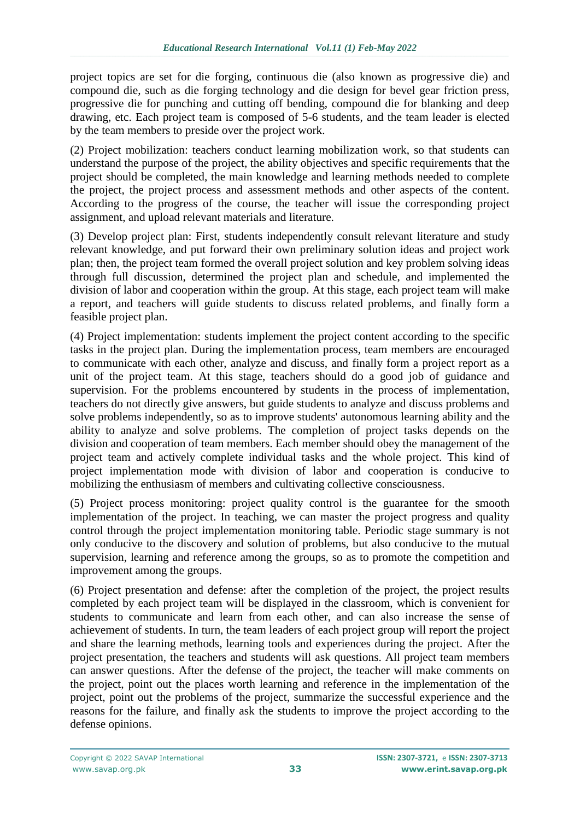project topics are set for die forging, continuous die (also known as progressive die) and compound die, such as die forging technology and die design for bevel gear friction press, progressive die for punching and cutting off bending, compound die for blanking and deep drawing, etc. Each project team is composed of 5-6 students, and the team leader is elected by the team members to preside over the project work.

(2) Project mobilization: teachers conduct learning mobilization work, so that students can understand the purpose of the project, the ability objectives and specific requirements that the project should be completed, the main knowledge and learning methods needed to complete the project, the project process and assessment methods and other aspects of the content. According to the progress of the course, the teacher will issue the corresponding project assignment, and upload relevant materials and literature.

(3) Develop project plan: First, students independently consult relevant literature and study relevant knowledge, and put forward their own preliminary solution ideas and project work plan; then, the project team formed the overall project solution and key problem solving ideas through full discussion, determined the project plan and schedule, and implemented the division of labor and cooperation within the group. At this stage, each project team will make a report, and teachers will guide students to discuss related problems, and finally form a feasible project plan.

(4) Project implementation: students implement the project content according to the specific tasks in the project plan. During the implementation process, team members are encouraged to communicate with each other, analyze and discuss, and finally form a project report as a unit of the project team. At this stage, teachers should do a good job of guidance and supervision. For the problems encountered by students in the process of implementation, teachers do not directly give answers, but guide students to analyze and discuss problems and solve problems independently, so as to improve students' autonomous learning ability and the ability to analyze and solve problems. The completion of project tasks depends on the division and cooperation of team members. Each member should obey the management of the project team and actively complete individual tasks and the whole project. This kind of project implementation mode with division of labor and cooperation is conducive to mobilizing the enthusiasm of members and cultivating collective consciousness.

(5) Project process monitoring: project quality control is the guarantee for the smooth implementation of the project. In teaching, we can master the project progress and quality control through the project implementation monitoring table. Periodic stage summary is not only conducive to the discovery and solution of problems, but also conducive to the mutual supervision, learning and reference among the groups, so as to promote the competition and improvement among the groups.

(6) Project presentation and defense: after the completion of the project, the project results completed by each project team will be displayed in the classroom, which is convenient for students to communicate and learn from each other, and can also increase the sense of achievement of students. In turn, the team leaders of each project group will report the project and share the learning methods, learning tools and experiences during the project. After the project presentation, the teachers and students will ask questions. All project team members can answer questions. After the defense of the project, the teacher will make comments on the project, point out the places worth learning and reference in the implementation of the project, point out the problems of the project, summarize the successful experience and the reasons for the failure, and finally ask the students to improve the project according to the defense opinions.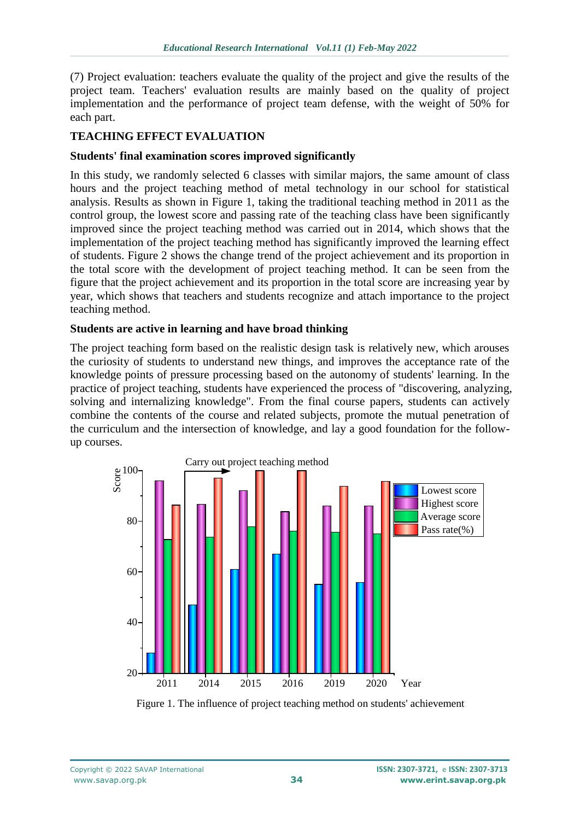(7) Project evaluation: teachers evaluate the quality of the project and give the results of the project team. Teachers' evaluation results are mainly based on the quality of project implementation and the performance of project team defense, with the weight of 50% for each part.

## **TEACHING EFFECT EVALUATION**

#### **Students' final examination scores improved significantly**

In this study, we randomly selected 6 classes with similar majors, the same amount of class hours and the project teaching method of metal technology in our school for statistical analysis. Results as shown in Figure 1, taking the traditional teaching method in 2011 as the control group, the lowest score and passing rate of the teaching class have been significantly improved since the project teaching method was carried out in 2014, which shows that the implementation of the project teaching method has significantly improved the learning effect of students. Figure 2 shows the change trend of the project achievement and its proportion in the total score with the development of project teaching method. It can be seen from the figure that the project achievement and its proportion in the total score are increasing year by year, which shows that teachers and students recognize and attach importance to the project teaching method.

#### **Students are active in learning and have broad thinking**

The project teaching form based on the realistic design task is relatively new, which arouses the curiosity of students to understand new things, and improves the acceptance rate of the knowledge points of pressure processing based on the autonomy of students' learning. In the practice of project teaching, students have experienced the process of "discovering, analyzing, solving and internalizing knowledge". From the final course papers, students can actively combine the contents of the course and related subjects, promote the mutual penetration of the curriculum and the intersection of knowledge, and lay a good foundation for the followup courses.



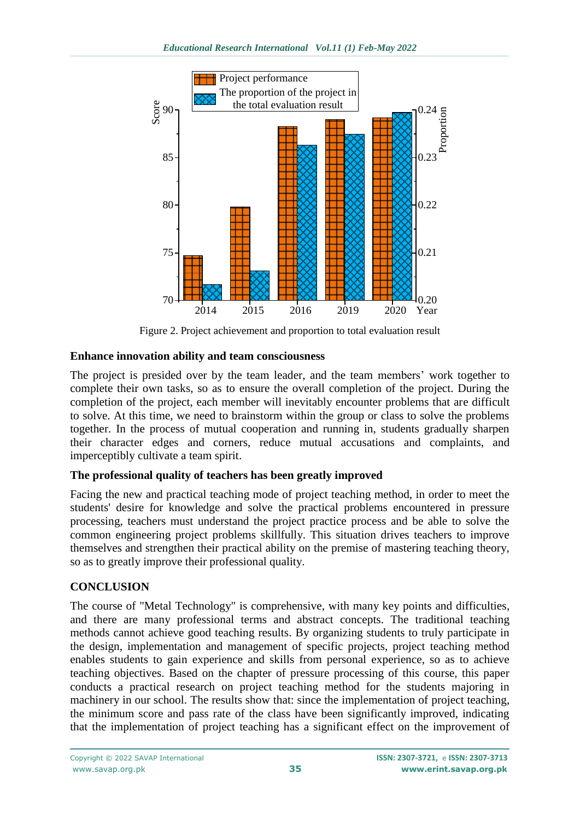

Figure 2. Project achievement and proportion to total evaluation result

## **Enhance innovation ability and team consciousness**

The project is presided over by the team leader, and the team members' work together to complete their own tasks, so as to ensure the overall completion of the project. During the completion of the project, each member will inevitably encounter problems that are difficult to solve. At this time, we need to brainstorm within the group or class to solve the problems together. In the process of mutual cooperation and running in, students gradually sharpen their character edges and corners, reduce mutual accusations and complaints, and imperceptibly cultivate a team spirit.

# **The professional quality of teachers has been greatly improved**

Facing the new and practical teaching mode of project teaching method, in order to meet the students' desire for knowledge and solve the practical problems encountered in pressure processing, teachers must understand the project practice process and be able to solve the common engineering project problems skillfully. This situation drives teachers to improve themselves and strengthen their practical ability on the premise of mastering teaching theory, so as to greatly improve their professional quality.

## **CONCLUSION**

The course of "Metal Technology" is comprehensive, with many key points and difficulties, and there are many professional terms and abstract concepts. The traditional teaching methods cannot achieve good teaching results. By organizing students to truly participate in the design, implementation and management of specific projects, project teaching method enables students to gain experience and skills from personal experience, so as to achieve teaching objectives. Based on the chapter of pressure processing of this course, this paper conducts a practical research on project teaching method for the students majoring in machinery in our school. The results show that: since the implementation of project teaching, the minimum score and pass rate of the class have been significantly improved, indicating that the implementation of project teaching has a significant effect on the improvement of